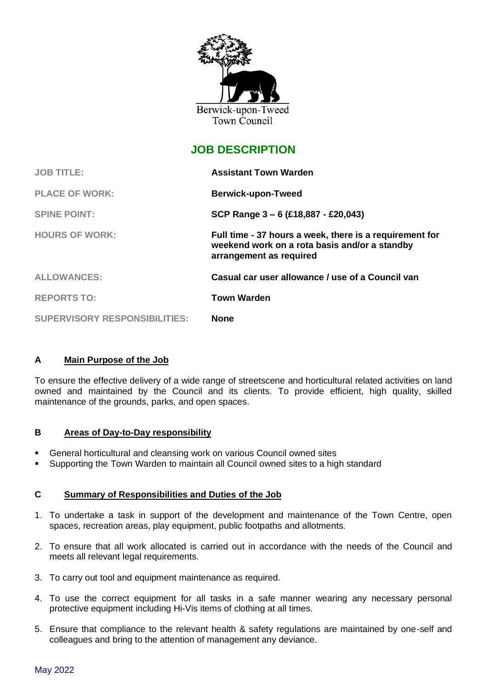

# **JOB DESCRIPTION**

| <b>JOB TITLE:</b>                    | <b>Assistant Town Warden</b>                                                                                                        |
|--------------------------------------|-------------------------------------------------------------------------------------------------------------------------------------|
| <b>PLACE OF WORK:</b>                | <b>Berwick-upon-Tweed</b>                                                                                                           |
| <b>SPINE POINT:</b>                  | SCP Range 3 – 6 (£18,887 - £20,043)                                                                                                 |
| <b>HOURS OF WORK:</b>                | Full time - 37 hours a week, there is a requirement for<br>weekend work on a rota basis and/or a standby<br>arrangement as required |
| <b>ALLOWANCES:</b>                   | Casual car user allowance / use of a Council van                                                                                    |
| <b>REPORTS TO:</b>                   | <b>Town Warden</b>                                                                                                                  |
| <b>SUPERVISORY RESPONSIBILITIES:</b> | <b>None</b>                                                                                                                         |

# **A Main Purpose of the Job**

To ensure the effective delivery of a wide range of streetscene and horticultural related activities on land owned and maintained by the Council and its clients. To provide efficient, high quality, skilled maintenance of the grounds, parks, and open spaces.

# **B Areas of Day-to-Day responsibility**

- General horticultural and cleansing work on various Council owned sites
- Supporting the Town Warden to maintain all Council owned sites to a high standard

# **C Summary of Responsibilities and Duties of the Job**

- 1. To undertake a task in support of the development and maintenance of the Town Centre, open spaces, recreation areas, play equipment, public footpaths and allotments.
- 2. To ensure that all work allocated is carried out in accordance with the needs of the Council and meets all relevant legal requirements.
- 3. To carry out tool and equipment maintenance as required.
- 4. To use the correct equipment for all tasks in a safe manner wearing any necessary personal protective equipment including Hi-Vis items of clothing at all times.
- 5. Ensure that compliance to the relevant health & safety regulations are maintained by one-self and colleagues and bring to the attention of management any deviance.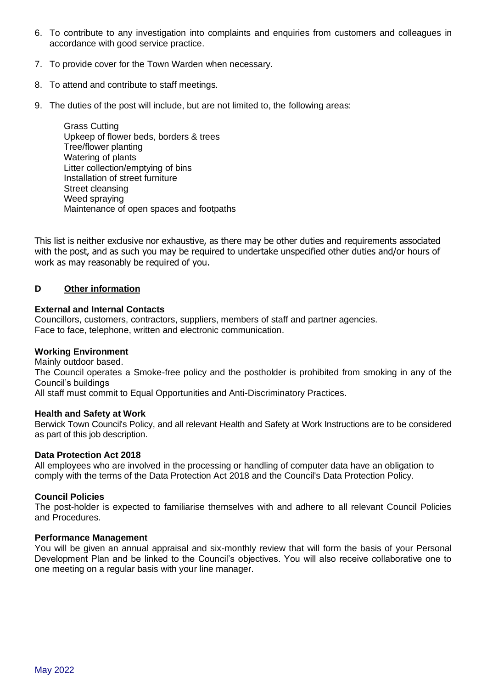- 6. To contribute to any investigation into complaints and enquiries from customers and colleagues in accordance with good service practice.
- 7. To provide cover for the Town Warden when necessary.
- 8. To attend and contribute to staff meetings.
- 9. The duties of the post will include, but are not limited to, the following areas:

Grass Cutting Upkeep of flower beds, borders & trees Tree/flower planting Watering of plants Litter collection/emptying of bins Installation of street furniture Street cleansing Weed spraying Maintenance of open spaces and footpaths

This list is neither exclusive nor exhaustive, as there may be other duties and requirements associated with the post, and as such you may be required to undertake unspecified other duties and/or hours of work as may reasonably be required of you.

## **D Other information**

## **External and Internal Contacts**

Councillors, customers, contractors, suppliers, members of staff and partner agencies. Face to face, telephone, written and electronic communication.

#### **Working Environment**

Mainly outdoor based. The Council operates a Smoke-free policy and the postholder is prohibited from smoking in any of the Council's buildings

All staff must commit to Equal Opportunities and Anti-Discriminatory Practices.

#### **Health and Safety at Work**

Berwick Town Council's Policy, and all relevant Health and Safety at Work Instructions are to be considered as part of this job description.

# **Data Protection Act 2018**

All employees who are involved in the processing or handling of computer data have an obligation to comply with the terms of the Data Protection Act 2018 and the Council's Data Protection Policy.

#### **Council Policies**

The post-holder is expected to familiarise themselves with and adhere to all relevant Council Policies and Procedures.

#### **Performance Management**

You will be given an annual appraisal and six-monthly review that will form the basis of your Personal Development Plan and be linked to the Council's objectives. You will also receive collaborative one to one meeting on a regular basis with your line manager.